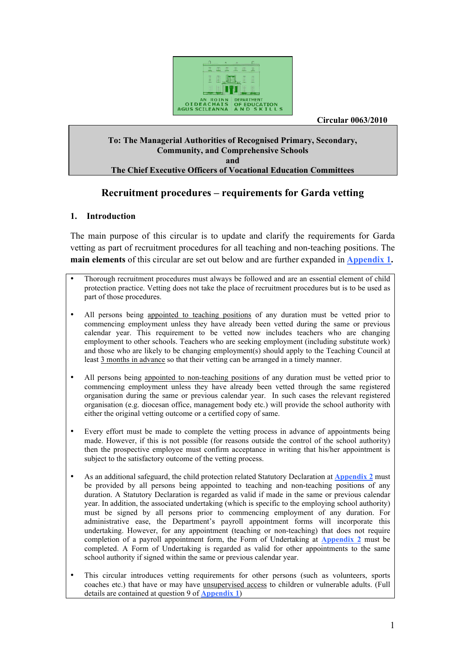

 **Circular 0063/2010** 

#### **To: The Managerial Authorities of Recognised Primary, Secondary, Community, and Comprehensive Schools and The Chief Executive Officers of Vocational Education Committees**

## **Recruitment procedures – requirements for Garda vetting**

#### **1. Introduction**

The main purpose of this circular is to update and clarify the requirements for Garda vetting as part of recruitment procedures for all teaching and non-teaching positions. The **main elements** of this circular are set out below and are further expanded in **Appendix 1.**

- Thorough recruitment procedures must always be followed and are an essential element of child protection practice. Vetting does not take the place of recruitment procedures but is to be used as part of those procedures.
- All persons being appointed to teaching positions of any duration must be vetted prior to commencing employment unless they have already been vetted during the same or previous calendar year. This requirement to be vetted now includes teachers who are changing employment to other schools. Teachers who are seeking employment (including substitute work) and those who are likely to be changing employment(s) should apply to the Teaching Council at least 3 months in advance so that their vetting can be arranged in a timely manner.
- All persons being appointed to non-teaching positions of any duration must be vetted prior to commencing employment unless they have already been vetted through the same registered organisation during the same or previous calendar year. In such cases the relevant registered organisation (e.g. diocesan office, management body etc.) will provide the school authority with either the original vetting outcome or a certified copy of same.
- Every effort must be made to complete the vetting process in advance of appointments being made. However, if this is not possible (for reasons outside the control of the school authority) then the prospective employee must confirm acceptance in writing that his/her appointment is subject to the satisfactory outcome of the vetting process.
- As an additional safeguard, the child protection related Statutory Declaration at **Appendix 2** must be provided by all persons being appointed to teaching and non-teaching positions of any duration. A Statutory Declaration is regarded as valid if made in the same or previous calendar year. In addition, the associated undertaking (which is specific to the employing school authority) must be signed by all persons prior to commencing employment of any duration. For administrative ease, the Department's payroll appointment forms will incorporate this undertaking. However, for any appointment (teaching or non-teaching) that does not require completion of a payroll appointment form, the Form of Undertaking at **Appendix 2** must be completed. A Form of Undertaking is regarded as valid for other appointments to the same school authority if signed within the same or previous calendar year.
- This circular introduces vetting requirements for other persons (such as volunteers, sports coaches etc.) that have or may have unsupervised access to children or vulnerable adults. (Full details are contained at question 9 of **Appendix 1**)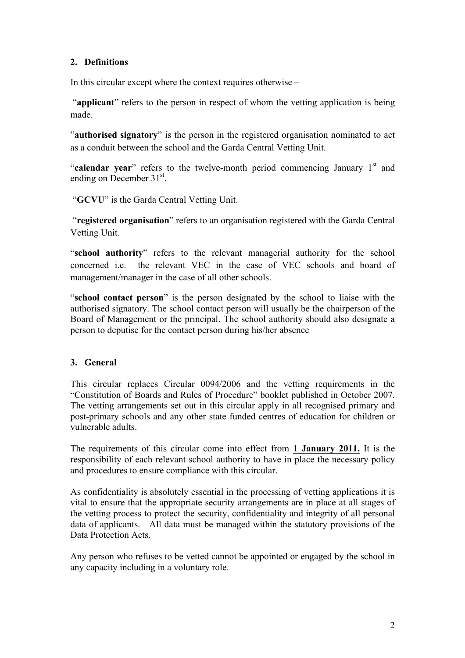## **2. Definitions**

In this circular except where the context requires otherwise –

 "**applicant**" refers to the person in respect of whom the vetting application is being made.

"**authorised signatory**" is the person in the registered organisation nominated to act as a conduit between the school and the Garda Central Vetting Unit.

"**calendar year**" refers to the twelve-month period commencing January 1<sup>st</sup> and ending on December  $31<sup>st</sup>$ .

"**GCVU**" is the Garda Central Vetting Unit.

 "**registered organisation**" refers to an organisation registered with the Garda Central Vetting Unit.

"**school authority**" refers to the relevant managerial authority for the school concerned i.e. the relevant VEC in the case of VEC schools and board of management/manager in the case of all other schools.

"**school contact person**" is the person designated by the school to liaise with the authorised signatory. The school contact person will usually be the chairperson of the Board of Management or the principal. The school authority should also designate a person to deputise for the contact person during his/her absence

## **3. General**

This circular replaces Circular 0094/2006 and the vetting requirements in the "Constitution of Boards and Rules of Procedure" booklet published in October 2007. The vetting arrangements set out in this circular apply in all recognised primary and post-primary schools and any other state funded centres of education for children or vulnerable adults.

The requirements of this circular come into effect from **1 January 2011.** It is the responsibility of each relevant school authority to have in place the necessary policy and procedures to ensure compliance with this circular.

As confidentiality is absolutely essential in the processing of vetting applications it is vital to ensure that the appropriate security arrangements are in place at all stages of the vetting process to protect the security, confidentiality and integrity of all personal data of applicants. All data must be managed within the statutory provisions of the Data Protection Acts.

Any person who refuses to be vetted cannot be appointed or engaged by the school in any capacity including in a voluntary role.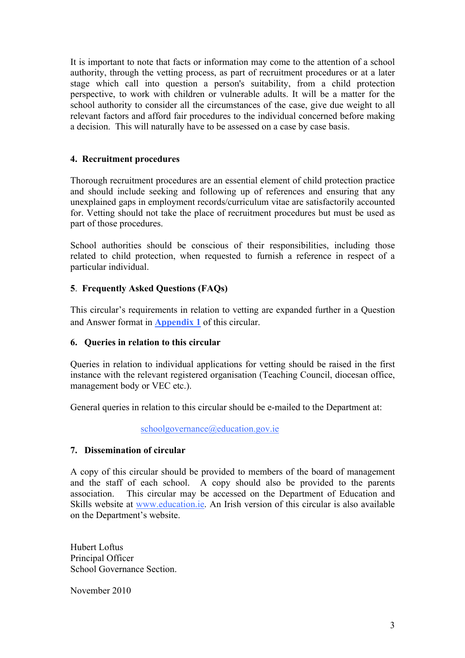It is important to note that facts or information may come to the attention of a school authority, through the vetting process, as part of recruitment procedures or at a later stage which call into question a person's suitability, from a child protection perspective, to work with children or vulnerable adults. It will be a matter for the school authority to consider all the circumstances of the case, give due weight to all relevant factors and afford fair procedures to the individual concerned before making a decision. This will naturally have to be assessed on a case by case basis.

### **4. Recruitment procedures**

Thorough recruitment procedures are an essential element of child protection practice and should include seeking and following up of references and ensuring that any unexplained gaps in employment records/curriculum vitae are satisfactorily accounted for. Vetting should not take the place of recruitment procedures but must be used as part of those procedures.

School authorities should be conscious of their responsibilities, including those related to child protection, when requested to furnish a reference in respect of a particular individual.

## **5**. **Frequently Asked Questions (FAQs)**

This circular's requirements in relation to vetting are expanded further in a Question and Answer format in **Appendix 1** of this circular.

#### **6. Queries in relation to this circular**

Queries in relation to individual applications for vetting should be raised in the first instance with the relevant registered organisation (Teaching Council, diocesan office, management body or VEC etc.).

General queries in relation to this circular should be e-mailed to the Department at:

schoolgovernance@education.gov.ie

#### **7. Dissemination of circular**

A copy of this circular should be provided to members of the board of management and the staff of each school. A copy should also be provided to the parents association. This circular may be accessed on the Department of Education and Skills website at www.education.ie. An Irish version of this circular is also available on the Department's website.

Hubert Loftus Principal Officer School Governance Section.

November 2010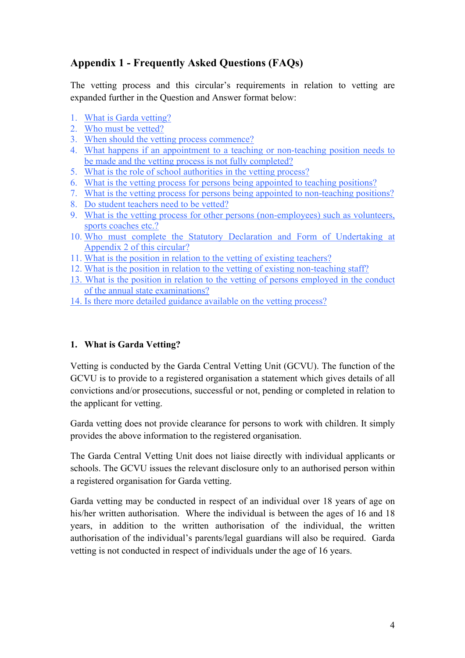# **Appendix 1 - Frequently Asked Questions (FAQs)**

The vetting process and this circular's requirements in relation to vetting are expanded further in the Question and Answer format below:

- 1. What is Garda vetting?
- 2. Who must be vetted?
- 3. When should the vetting process commence?
- 4. What happens if an appointment to a teaching or non-teaching position needs to be made and the vetting process is not fully completed?
- 5. What is the role of school authorities in the vetting process?
- 6. What is the vetting process for persons being appointed to teaching positions?
- 7. What is the vetting process for persons being appointed to non-teaching positions?
- 8. Do student teachers need to be vetted?
- 9. What is the vetting process for other persons (non-employees) such as volunteers, sports coaches etc.?
- 10. Who must complete the Statutory Declaration and Form of Undertaking at Appendix 2 of this circular?
- 11. What is the position in relation to the vetting of existing teachers?
- 12. What is the position in relation to the vetting of existing non-teaching staff?
- 13. What is the position in relation to the vetting of persons employed in the conduct of the annual state examinations?
- 14. Is there more detailed guidance available on the vetting process?

## **1. What is Garda Vetting?**

Vetting is conducted by the Garda Central Vetting Unit (GCVU). The function of the GCVU is to provide to a registered organisation a statement which gives details of all convictions and/or prosecutions, successful or not, pending or completed in relation to the applicant for vetting.

Garda vetting does not provide clearance for persons to work with children. It simply provides the above information to the registered organisation.

The Garda Central Vetting Unit does not liaise directly with individual applicants or schools. The GCVU issues the relevant disclosure only to an authorised person within a registered organisation for Garda vetting.

Garda vetting may be conducted in respect of an individual over 18 years of age on his/her written authorisation. Where the individual is between the ages of 16 and 18 years, in addition to the written authorisation of the individual, the written authorisation of the individual's parents/legal guardians will also be required. Garda vetting is not conducted in respect of individuals under the age of 16 years.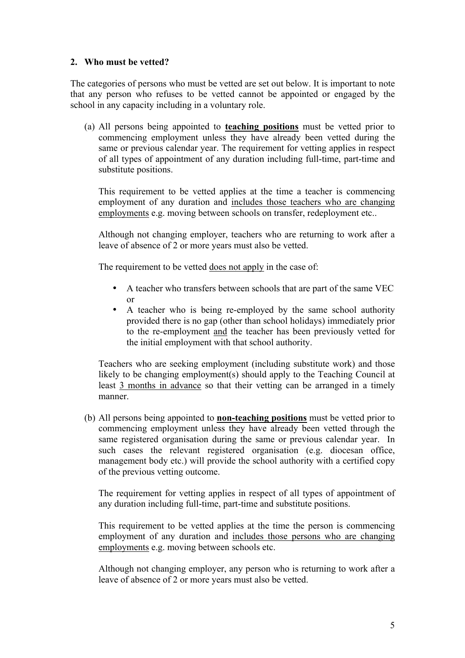#### **2. Who must be vetted?**

The categories of persons who must be vetted are set out below. It is important to note that any person who refuses to be vetted cannot be appointed or engaged by the school in any capacity including in a voluntary role.

(a) All persons being appointed to **teaching positions** must be vetted prior to commencing employment unless they have already been vetted during the same or previous calendar year. The requirement for vetting applies in respect of all types of appointment of any duration including full-time, part-time and substitute positions.

This requirement to be vetted applies at the time a teacher is commencing employment of any duration and includes those teachers who are changing employments e.g. moving between schools on transfer, redeployment etc..

Although not changing employer, teachers who are returning to work after a leave of absence of 2 or more years must also be vetted.

The requirement to be vetted does not apply in the case of:

- A teacher who transfers between schools that are part of the same VEC  $\alpha r$
- A teacher who is being re-employed by the same school authority provided there is no gap (other than school holidays) immediately prior to the re-employment and the teacher has been previously vetted for the initial employment with that school authority.

Teachers who are seeking employment (including substitute work) and those likely to be changing employment(s) should apply to the Teaching Council at least 3 months in advance so that their vetting can be arranged in a timely manner.

(b) All persons being appointed to **non-teaching positions** must be vetted prior to commencing employment unless they have already been vetted through the same registered organisation during the same or previous calendar year. In such cases the relevant registered organisation (e.g. diocesan office, management body etc.) will provide the school authority with a certified copy of the previous vetting outcome.

The requirement for vetting applies in respect of all types of appointment of any duration including full-time, part-time and substitute positions.

This requirement to be vetted applies at the time the person is commencing employment of any duration and includes those persons who are changing employments e.g. moving between schools etc.

Although not changing employer, any person who is returning to work after a leave of absence of 2 or more years must also be vetted.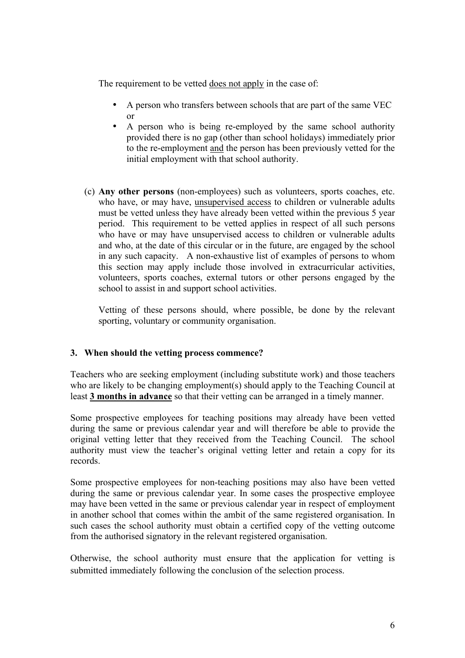The requirement to be vetted does not apply in the case of:

- A person who transfers between schools that are part of the same VEC or
- A person who is being re-employed by the same school authority provided there is no gap (other than school holidays) immediately prior to the re-employment and the person has been previously vetted for the initial employment with that school authority.
- (c) **Any other persons** (non-employees) such as volunteers, sports coaches, etc. who have, or may have, unsupervised access to children or vulnerable adults must be vetted unless they have already been vetted within the previous 5 year period. This requirement to be vetted applies in respect of all such persons who have or may have unsupervised access to children or vulnerable adults and who, at the date of this circular or in the future, are engaged by the school in any such capacity. A non-exhaustive list of examples of persons to whom this section may apply include those involved in extracurricular activities, volunteers, sports coaches, external tutors or other persons engaged by the school to assist in and support school activities.

Vetting of these persons should, where possible, be done by the relevant sporting, voluntary or community organisation.

#### **3. When should the vetting process commence?**

Teachers who are seeking employment (including substitute work) and those teachers who are likely to be changing employment(s) should apply to the Teaching Council at least **3 months in advance** so that their vetting can be arranged in a timely manner.

Some prospective employees for teaching positions may already have been vetted during the same or previous calendar year and will therefore be able to provide the original vetting letter that they received from the Teaching Council. The school authority must view the teacher's original vetting letter and retain a copy for its records.

Some prospective employees for non-teaching positions may also have been vetted during the same or previous calendar year. In some cases the prospective employee may have been vetted in the same or previous calendar year in respect of employment in another school that comes within the ambit of the same registered organisation. In such cases the school authority must obtain a certified copy of the vetting outcome from the authorised signatory in the relevant registered organisation.

Otherwise, the school authority must ensure that the application for vetting is submitted immediately following the conclusion of the selection process.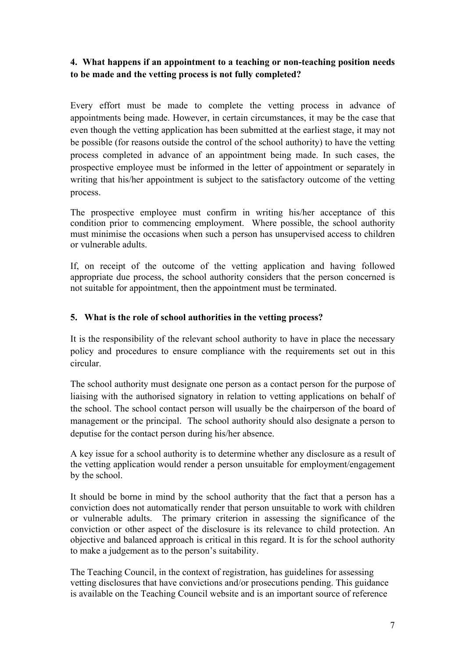## **4. What happens if an appointment to a teaching or non-teaching position needs to be made and the vetting process is not fully completed?**

Every effort must be made to complete the vetting process in advance of appointments being made. However, in certain circumstances, it may be the case that even though the vetting application has been submitted at the earliest stage, it may not be possible (for reasons outside the control of the school authority) to have the vetting process completed in advance of an appointment being made. In such cases, the prospective employee must be informed in the letter of appointment or separately in writing that his/her appointment is subject to the satisfactory outcome of the vetting process.

The prospective employee must confirm in writing his/her acceptance of this condition prior to commencing employment. Where possible, the school authority must minimise the occasions when such a person has unsupervised access to children or vulnerable adults.

If, on receipt of the outcome of the vetting application and having followed appropriate due process, the school authority considers that the person concerned is not suitable for appointment, then the appointment must be terminated.

### **5. What is the role of school authorities in the vetting process?**

It is the responsibility of the relevant school authority to have in place the necessary policy and procedures to ensure compliance with the requirements set out in this circular.

The school authority must designate one person as a contact person for the purpose of liaising with the authorised signatory in relation to vetting applications on behalf of the school. The school contact person will usually be the chairperson of the board of management or the principal. The school authority should also designate a person to deputise for the contact person during his/her absence.

A key issue for a school authority is to determine whether any disclosure as a result of the vetting application would render a person unsuitable for employment/engagement by the school.

It should be borne in mind by the school authority that the fact that a person has a conviction does not automatically render that person unsuitable to work with children or vulnerable adults. The primary criterion in assessing the significance of the conviction or other aspect of the disclosure is its relevance to child protection. An objective and balanced approach is critical in this regard. It is for the school authority to make a judgement as to the person's suitability.

The Teaching Council, in the context of registration, has guidelines for assessing vetting disclosures that have convictions and/or prosecutions pending. This guidance is available on the Teaching Council website and is an important source of reference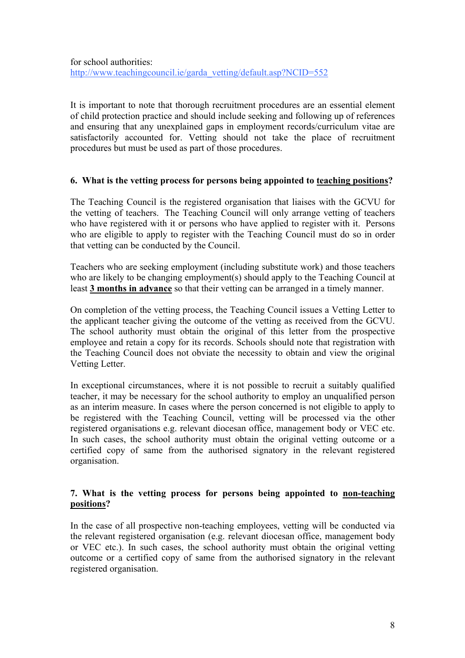It is important to note that thorough recruitment procedures are an essential element of child protection practice and should include seeking and following up of references and ensuring that any unexplained gaps in employment records/curriculum vitae are satisfactorily accounted for. Vetting should not take the place of recruitment procedures but must be used as part of those procedures.

#### **6. What is the vetting process for persons being appointed to teaching positions?**

The Teaching Council is the registered organisation that liaises with the GCVU for the vetting of teachers. The Teaching Council will only arrange vetting of teachers who have registered with it or persons who have applied to register with it. Persons who are eligible to apply to register with the Teaching Council must do so in order that vetting can be conducted by the Council.

Teachers who are seeking employment (including substitute work) and those teachers who are likely to be changing employment(s) should apply to the Teaching Council at least **3 months in advance** so that their vetting can be arranged in a timely manner.

On completion of the vetting process, the Teaching Council issues a Vetting Letter to the applicant teacher giving the outcome of the vetting as received from the GCVU. The school authority must obtain the original of this letter from the prospective employee and retain a copy for its records. Schools should note that registration with the Teaching Council does not obviate the necessity to obtain and view the original Vetting Letter.

In exceptional circumstances, where it is not possible to recruit a suitably qualified teacher, it may be necessary for the school authority to employ an unqualified person as an interim measure. In cases where the person concerned is not eligible to apply to be registered with the Teaching Council, vetting will be processed via the other registered organisations e.g. relevant diocesan office, management body or VEC etc. In such cases, the school authority must obtain the original vetting outcome or a certified copy of same from the authorised signatory in the relevant registered organisation.

#### **7. What is the vetting process for persons being appointed to non-teaching positions?**

In the case of all prospective non-teaching employees, vetting will be conducted via the relevant registered organisation (e.g. relevant diocesan office, management body or VEC etc.). In such cases, the school authority must obtain the original vetting outcome or a certified copy of same from the authorised signatory in the relevant registered organisation.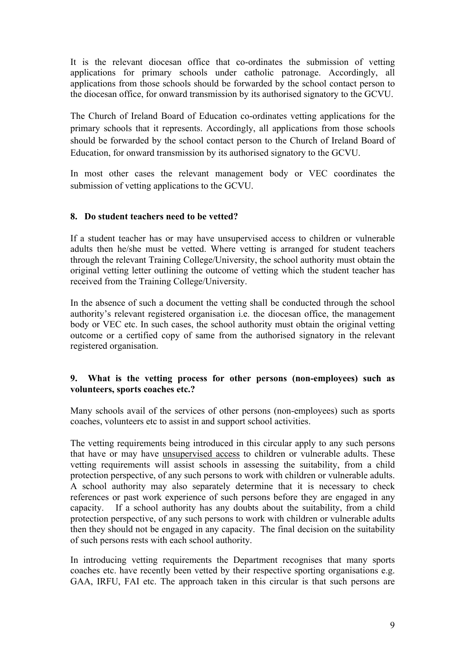It is the relevant diocesan office that co-ordinates the submission of vetting applications for primary schools under catholic patronage. Accordingly, all applications from those schools should be forwarded by the school contact person to the diocesan office, for onward transmission by its authorised signatory to the GCVU.

The Church of Ireland Board of Education co-ordinates vetting applications for the primary schools that it represents. Accordingly, all applications from those schools should be forwarded by the school contact person to the Church of Ireland Board of Education, for onward transmission by its authorised signatory to the GCVU.

In most other cases the relevant management body or VEC coordinates the submission of vetting applications to the GCVU.

#### **8. Do student teachers need to be vetted?**

If a student teacher has or may have unsupervised access to children or vulnerable adults then he/she must be vetted. Where vetting is arranged for student teachers through the relevant Training College/University, the school authority must obtain the original vetting letter outlining the outcome of vetting which the student teacher has received from the Training College/University.

In the absence of such a document the vetting shall be conducted through the school authority's relevant registered organisation i.e. the diocesan office, the management body or VEC etc. In such cases, the school authority must obtain the original vetting outcome or a certified copy of same from the authorised signatory in the relevant registered organisation.

#### **9. What is the vetting process for other persons (non-employees) such as volunteers, sports coaches etc.?**

Many schools avail of the services of other persons (non-employees) such as sports coaches, volunteers etc to assist in and support school activities.

The vetting requirements being introduced in this circular apply to any such persons that have or may have unsupervised access to children or vulnerable adults. These vetting requirements will assist schools in assessing the suitability, from a child protection perspective, of any such persons to work with children or vulnerable adults. A school authority may also separately determine that it is necessary to check references or past work experience of such persons before they are engaged in any capacity. If a school authority has any doubts about the suitability, from a child protection perspective, of any such persons to work with children or vulnerable adults then they should not be engaged in any capacity. The final decision on the suitability of such persons rests with each school authority.

In introducing vetting requirements the Department recognises that many sports coaches etc. have recently been vetted by their respective sporting organisations e.g. GAA, IRFU, FAI etc. The approach taken in this circular is that such persons are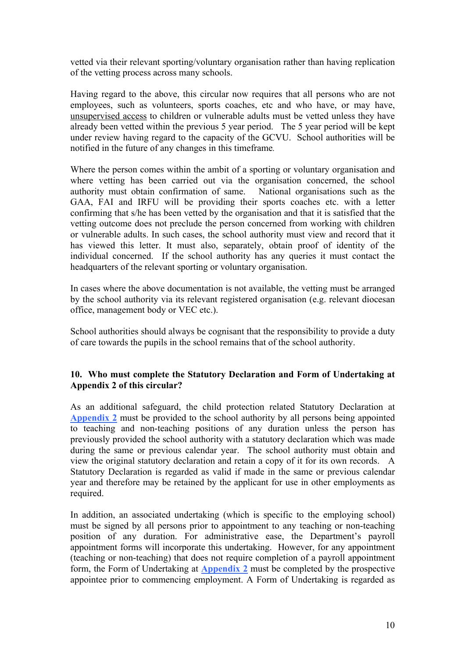vetted via their relevant sporting/voluntary organisation rather than having replication of the vetting process across many schools.

Having regard to the above, this circular now requires that all persons who are not employees, such as volunteers, sports coaches, etc and who have, or may have, unsupervised access to children or vulnerable adults must be vetted unless they have already been vetted within the previous 5 year period. The 5 year period will be kept under review having regard to the capacity of the GCVU. School authorities will be notified in the future of any changes in this timeframe*.*

Where the person comes within the ambit of a sporting or voluntary organisation and where vetting has been carried out via the organisation concerned, the school authority must obtain confirmation of same. National organisations such as the GAA, FAI and IRFU will be providing their sports coaches etc. with a letter confirming that s/he has been vetted by the organisation and that it is satisfied that the vetting outcome does not preclude the person concerned from working with children or vulnerable adults. In such cases, the school authority must view and record that it has viewed this letter. It must also, separately, obtain proof of identity of the individual concerned. If the school authority has any queries it must contact the headquarters of the relevant sporting or voluntary organisation.

In cases where the above documentation is not available, the vetting must be arranged by the school authority via its relevant registered organisation (e.g. relevant diocesan office, management body or VEC etc.).

School authorities should always be cognisant that the responsibility to provide a duty of care towards the pupils in the school remains that of the school authority.

#### **10. Who must complete the Statutory Declaration and Form of Undertaking at Appendix 2 of this circular?**

As an additional safeguard, the child protection related Statutory Declaration at **Appendix 2** must be provided to the school authority by all persons being appointed to teaching and non-teaching positions of any duration unless the person has previously provided the school authority with a statutory declaration which was made during the same or previous calendar year. The school authority must obtain and view the original statutory declaration and retain a copy of it for its own records. A Statutory Declaration is regarded as valid if made in the same or previous calendar year and therefore may be retained by the applicant for use in other employments as required.

In addition, an associated undertaking (which is specific to the employing school) must be signed by all persons prior to appointment to any teaching or non-teaching position of any duration. For administrative ease, the Department's payroll appointment forms will incorporate this undertaking. However, for any appointment (teaching or non-teaching) that does not require completion of a payroll appointment form, the Form of Undertaking at **Appendix 2** must be completed by the prospective appointee prior to commencing employment. A Form of Undertaking is regarded as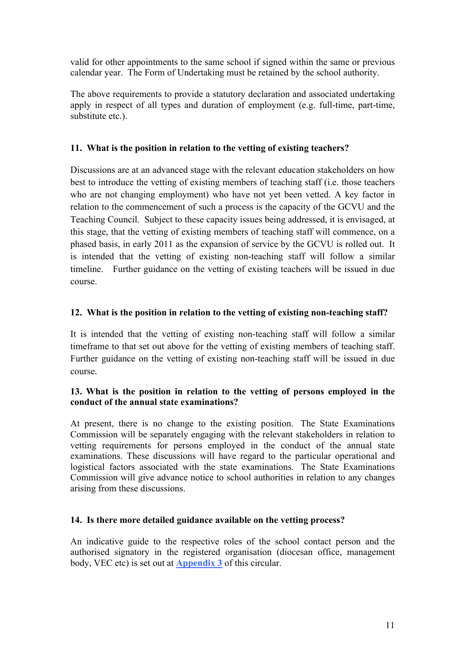valid for other appointments to the same school if signed within the same or previous calendar year. The Form of Undertaking must be retained by the school authority.

The above requirements to provide a statutory declaration and associated undertaking apply in respect of all types and duration of employment (e.g. full-time, part-time, substitute etc.).

#### **11. What is the position in relation to the vetting of existing teachers?**

Discussions are at an advanced stage with the relevant education stakeholders on how best to introduce the vetting of existing members of teaching staff (i.e. those teachers who are not changing employment) who have not yet been vetted. A key factor in relation to the commencement of such a process is the capacity of the GCVU and the Teaching Council. Subject to these capacity issues being addressed, it is envisaged, at this stage, that the vetting of existing members of teaching staff will commence, on a phased basis, in early 2011 as the expansion of service by the GCVU is rolled out. It is intended that the vetting of existing non-teaching staff will follow a similar timeline. Further guidance on the vetting of existing teachers will be issued in due course.

#### **12. What is the position in relation to the vetting of existing non-teaching staff?**

It is intended that the vetting of existing non-teaching staff will follow a similar timeframe to that set out above for the vetting of existing members of teaching staff. Further guidance on the vetting of existing non-teaching staff will be issued in due course.

#### **13. What is the position in relation to the vetting of persons employed in the conduct of the annual state examinations?**

At present, there is no change to the existing position. The State Examinations Commission will be separately engaging with the relevant stakeholders in relation to vetting requirements for persons employed in the conduct of the annual state examinations. These discussions will have regard to the particular operational and logistical factors associated with the state examinations. The State Examinations Commission will give advance notice to school authorities in relation to any changes arising from these discussions.

#### **14. Is there more detailed guidance available on the vetting process?**

An indicative guide to the respective roles of the school contact person and the authorised signatory in the registered organisation (diocesan office, management body, VEC etc) is set out at **Appendix 3** of this circular.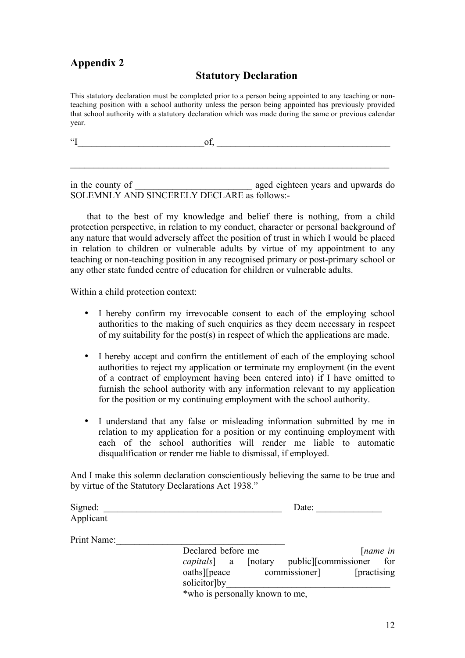# **Appendix 2**

## **Statutory Declaration**

This statutory declaration must be completed prior to a person being appointed to any teaching or nonteaching position with a school authority unless the person being appointed has previously provided that school authority with a statutory declaration which was made during the same or previous calendar year.

 $\qquad \qquad \text{of,} \qquad \qquad \qquad \qquad \text{of,}$ 

in the county of **example 2** aged eighteen years and upwards do SOLEMNLY AND SINCERELY DECLARE as follows:-

 $\mathcal{L}_\mathcal{L} = \mathcal{L}_\mathcal{L} = \mathcal{L}_\mathcal{L} = \mathcal{L}_\mathcal{L} = \mathcal{L}_\mathcal{L} = \mathcal{L}_\mathcal{L} = \mathcal{L}_\mathcal{L} = \mathcal{L}_\mathcal{L} = \mathcal{L}_\mathcal{L} = \mathcal{L}_\mathcal{L} = \mathcal{L}_\mathcal{L} = \mathcal{L}_\mathcal{L} = \mathcal{L}_\mathcal{L} = \mathcal{L}_\mathcal{L} = \mathcal{L}_\mathcal{L} = \mathcal{L}_\mathcal{L} = \mathcal{L}_\mathcal{L}$ 

 that to the best of my knowledge and belief there is nothing, from a child protection perspective, in relation to my conduct, character or personal background of any nature that would adversely affect the position of trust in which I would be placed in relation to children or vulnerable adults by virtue of my appointment to any teaching or non-teaching position in any recognised primary or post-primary school or any other state funded centre of education for children or vulnerable adults.

Within a child protection context:

- I hereby confirm my irrevocable consent to each of the employing school authorities to the making of such enquiries as they deem necessary in respect of my suitability for the post(s) in respect of which the applications are made.
- I hereby accept and confirm the entitlement of each of the employing school authorities to reject my application or terminate my employment (in the event of a contract of employment having been entered into) if I have omitted to furnish the school authority with any information relevant to my application for the position or my continuing employment with the school authority.
- I understand that any false or misleading information submitted by me in relation to my application for a position or my continuing employment with each of the school authorities will render me liable to automatic disqualification or render me liable to dismissal, if employed.

And I make this solemn declaration conscientiously believing the same to be true and by virtue of the Statutory Declarations Act 1938."

| Signed:     |                                 |          | Date:                    |                     |  |
|-------------|---------------------------------|----------|--------------------------|---------------------|--|
| Applicant   |                                 |          |                          |                     |  |
| Print Name: |                                 |          |                          |                     |  |
|             | Declared before me              |          |                          | $[name\ in$         |  |
|             | capitals]<br>a                  | [notary] | public [commissioner for |                     |  |
|             | $oaths$ [peace]<br>solicitor by |          | commissioner]            | <b>[practising]</b> |  |
|             | *who is personally known to me, |          |                          |                     |  |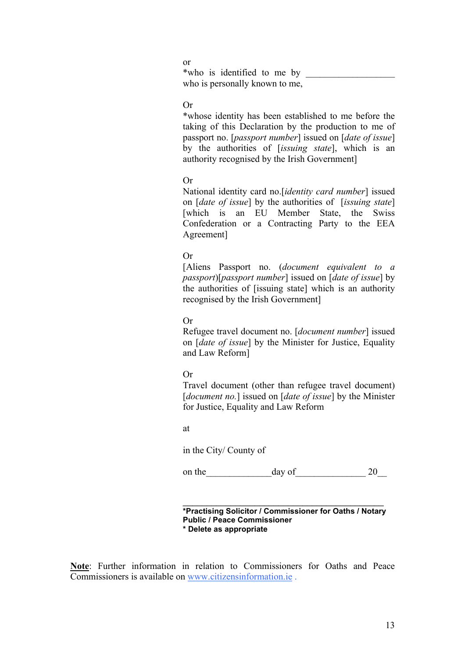or \*who is identified to me by who is personally known to me,

#### Or

\*whose identity has been established to me before the taking of this Declaration by the production to me of passport no. [*passport number*] issued on [*date of issue*] by the authorities of [*issuing state*], which is an authority recognised by the Irish Government]

#### Or

National identity card no.[*identity card number*] issued on [*date of issue*] by the authorities of [*issuing state*] [which is an EU Member State, the Swiss Confederation or a Contracting Party to the EEA Agreement]

#### Or

[Aliens Passport no. (*document equivalent to a passport*)[*passport number*] issued on [*date of issue*] by the authorities of [issuing state] which is an authority recognised by the Irish Government]

#### Or

Refugee travel document no. [*document number*] issued on [*date of issue*] by the Minister for Justice, Equality and Law Reform]

#### Or

Travel document (other than refugee travel document) [*document no.*] issued on [*date of issue*] by the Minister for Justice, Equality and Law Reform

at

in the City/ County of

on the day of 20

 $\mathcal{L}_\text{max}$  , and the set of the set of the set of the set of the set of the set of the set of the set of the set of the set of the set of the set of the set of the set of the set of the set of the set of the set of the **\*Practising Solicitor / Commissioner for Oaths / Notary Public / Peace Commissioner \* Delete as appropriate** 

**Note**: Further information in relation to Commissioners for Oaths and Peace Commissioners is available on www.citizensinformation.ie .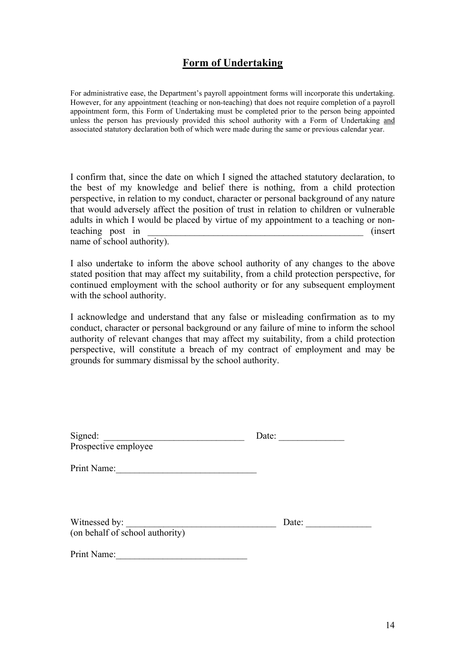## **Form of Undertaking**

For administrative ease, the Department's payroll appointment forms will incorporate this undertaking. However, for any appointment (teaching or non-teaching) that does not require completion of a payroll appointment form, this Form of Undertaking must be completed prior to the person being appointed unless the person has previously provided this school authority with a Form of Undertaking and associated statutory declaration both of which were made during the same or previous calendar year.

I confirm that, since the date on which I signed the attached statutory declaration, to the best of my knowledge and belief there is nothing, from a child protection perspective, in relation to my conduct, character or personal background of any nature that would adversely affect the position of trust in relation to children or vulnerable adults in which I would be placed by virtue of my appointment to a teaching or nonteaching post in  $\qquad \qquad \text{(insert)}$ name of school authority).

I also undertake to inform the above school authority of any changes to the above stated position that may affect my suitability, from a child protection perspective, for continued employment with the school authority or for any subsequent employment with the school authority.

I acknowledge and understand that any false or misleading confirmation as to my conduct, character or personal background or any failure of mine to inform the school authority of relevant changes that may affect my suitability, from a child protection perspective, will constitute a breach of my contract of employment and may be grounds for summary dismissal by the school authority.

| Signed:<br>Prospective employee                  | Date: |  |
|--------------------------------------------------|-------|--|
| Print Name:                                      |       |  |
| Witnessed by:<br>(on behalf of school authority) | Date: |  |
| Print Name:                                      |       |  |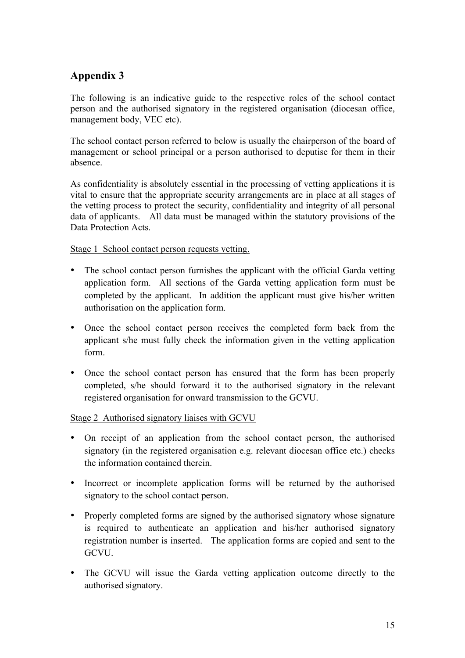# **Appendix 3**

The following is an indicative guide to the respective roles of the school contact person and the authorised signatory in the registered organisation (diocesan office, management body, VEC etc).

The school contact person referred to below is usually the chairperson of the board of management or school principal or a person authorised to deputise for them in their absence.

As confidentiality is absolutely essential in the processing of vetting applications it is vital to ensure that the appropriate security arrangements are in place at all stages of the vetting process to protect the security, confidentiality and integrity of all personal data of applicants. All data must be managed within the statutory provisions of the Data Protection Acts.

Stage 1 School contact person requests vetting.

- The school contact person furnishes the applicant with the official Garda vetting application form. All sections of the Garda vetting application form must be completed by the applicant. In addition the applicant must give his/her written authorisation on the application form.
- Once the school contact person receives the completed form back from the applicant s/he must fully check the information given in the vetting application form.
- Once the school contact person has ensured that the form has been properly completed, s/he should forward it to the authorised signatory in the relevant registered organisation for onward transmission to the GCVU.

Stage 2 Authorised signatory liaises with GCVU

- On receipt of an application from the school contact person, the authorised signatory (in the registered organisation e.g. relevant diocesan office etc.) checks the information contained therein.
- Incorrect or incomplete application forms will be returned by the authorised signatory to the school contact person.
- Properly completed forms are signed by the authorised signatory whose signature is required to authenticate an application and his/her authorised signatory registration number is inserted. The application forms are copied and sent to the **GCVU**
- The GCVU will issue the Garda vetting application outcome directly to the authorised signatory.